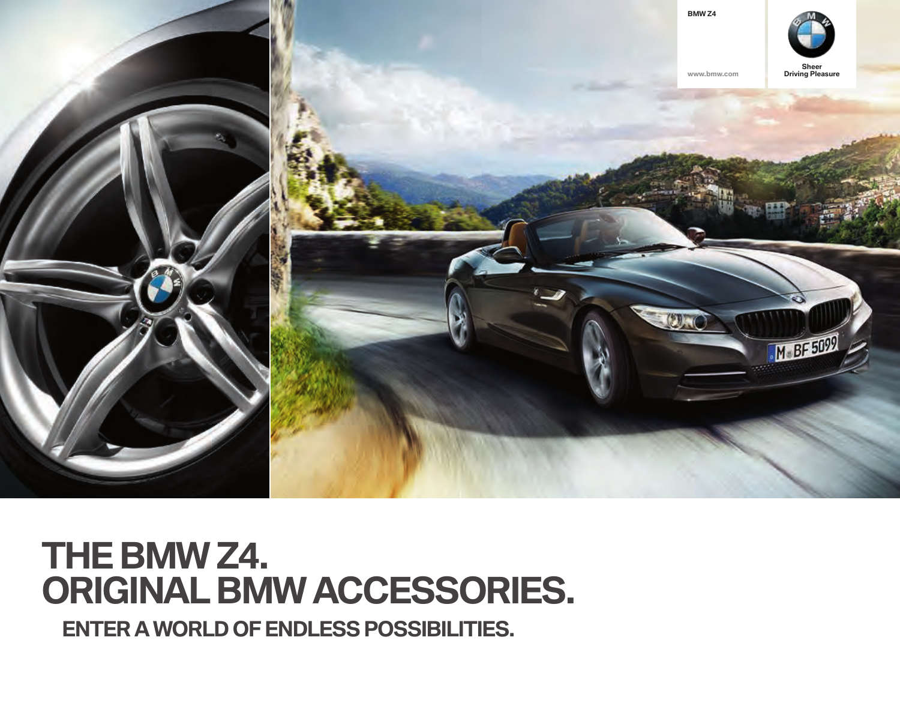

# **THE BMW Z4. ORIGINAL BMW ACCESSORIES.**

**ENTER A WORLD OF ENDLESS POSSIBILITIES.**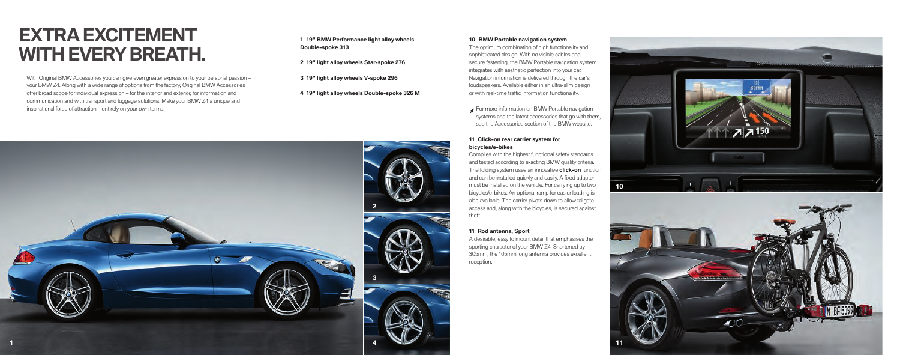## **EXTRA EXCITEMENT WITH EVERY BREATH.**

With Original BMW Accessories you can give even greater expression to your personal passion – your BMW Z4. Along with a wide range of options from the factory, Original BMW Accessories offer broad scope for individual expression – for the interior and exterior, for information and communication and with transport and luggage solutions. Make your BMW Z4 a unique and inspirational force of attraction – entirely on your own terms.

#### **" BMW Performance light alloy wheels Double-spoke**

**" light alloy wheels Star-spoke** 

- **" light alloy wheels V-spoke**
- **" light alloy wheels Double-spoke M**

#### **BMW Portable navigation system**

The optimum combination of high functionality and sophisticated design. With no visible cables and secure fastening, the BMW Portable navigation system integrates with aesthetic perfection into your car. Navigation information is delivered through the car's loudspeakers. Available either in an ultra-slim design or with real-time traffic information functionality.

 For more information on BMW Portable navigation systems and the latest accessories that go with them, see the Accessories section of the BMW website.

#### **Click-on rear carrier system for bicycles/e-bikes**

Complies with the highest functional safety standards and tested according to exacting BMW quality criteria. The folding system uses an innovative **click-on** function and can be installed quickly and easily. A fixed adapter must be installed on the vehicle. For carrying up to two bicycles/e-bikes. An optional ramp for easier loading is also available. The carrier pivots down to allow tailgate access and, along with the bicycles, is secured against theft.

#### **Rod antenna, Sport**

A desirable, easy to mount detail that emphasises the sporting character of your BMW Z4. Shortened by 305mm, the 105mm long antenna provides excellent reception.





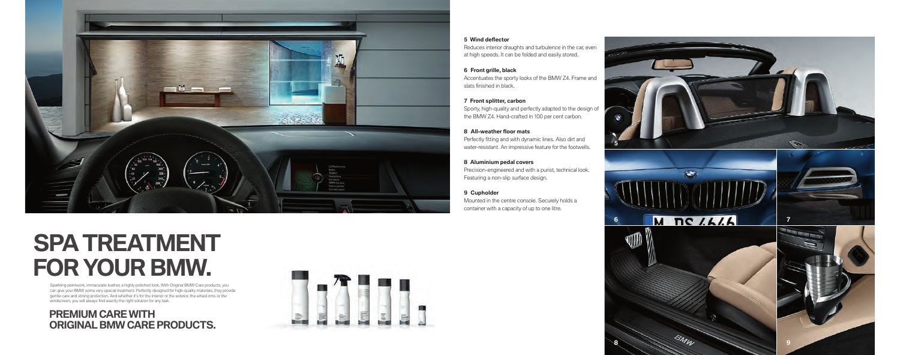

#### **5** Wind deflector

Reduces interior draughts and turbulence in the car, even at high speeds. It can be folded and easily stored.

Accentuates the sporty looks of the BMW Z4. Frame and slats finished in black. **Front grille, black**

Sporty, high-quality and perfectly adapted to the design of the BMW Z4. Hand-crafted in 100 per cent carbon. **Front splitter, carbon**

Perfectly fitting and with dynamic lines. Also dirt and water-resistant. An impressive feature for the footwells. **All-weather fl oor mats**

Precision-engineered and with a purist, technical look. Featuring a non-slip surface design. **Aluminium pedal covers**

Mounted in the centre console. Securely holds a container with a capacity of up to one litre. **Cupholder**





**8** 9

# **SPA TREATMENT FOR YOUR BMW.**

Sparkling paintwork, immaculate leather, a highly polished look. With Original BMW Care products, you can give your BMW some very special treatment. Perfectly designed for high-quality materials, they provide gentle care and strong protection. And whether it's for the interior or the exterior, the wheel rims or the<br>windscreen, you will always find exactly the right solution for any task.

### **PREMIUM CARE WITH ORIGINAL BMW CARE PRODUCTS.**